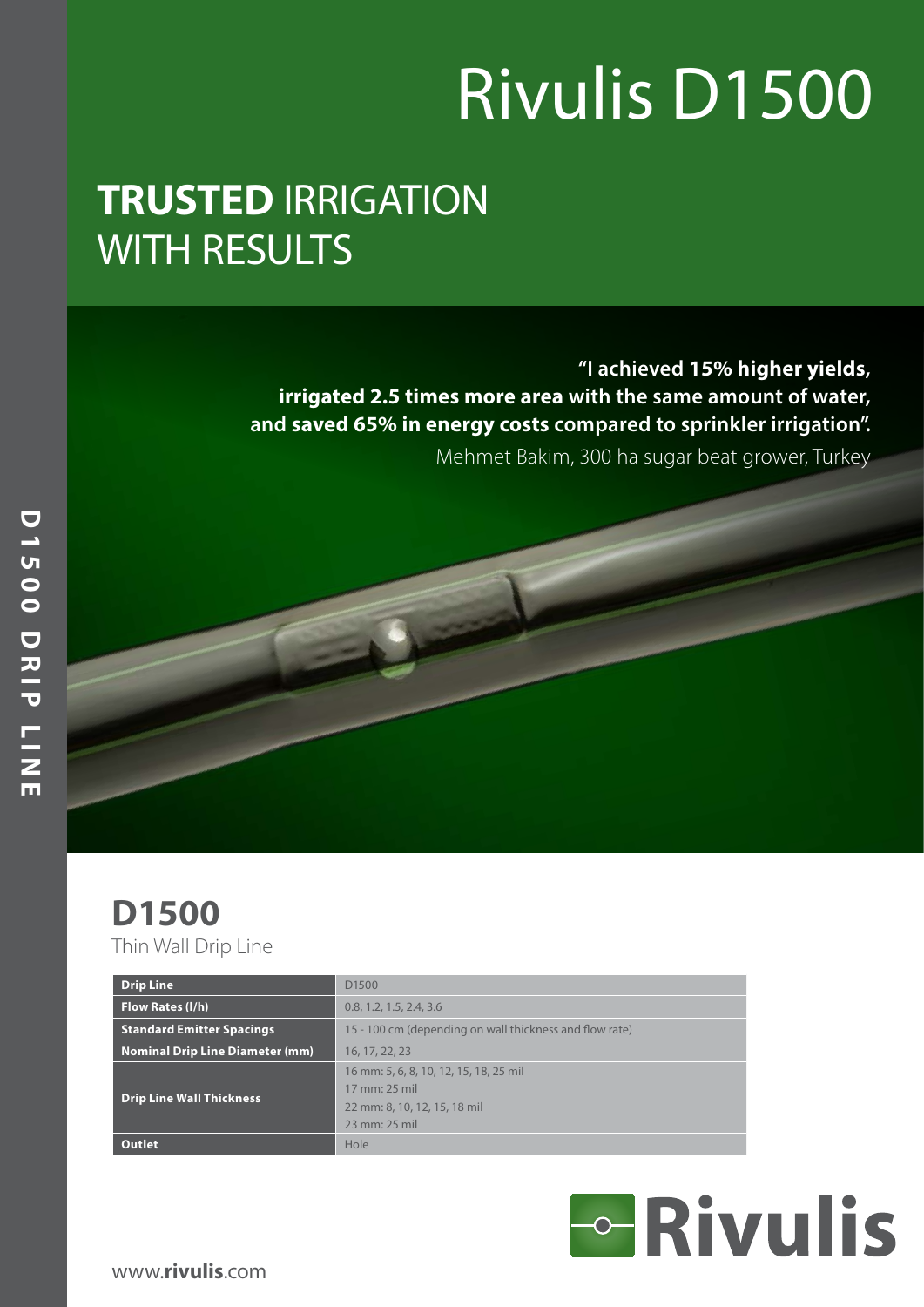# Rivulis D1500

## **TRUSTED** IRRIGATION WITH RESULTS

**"I achieved 15% higher yields, irrigated 2.5 times more area with the same amount of water, and saved 65% in energy costs compared to sprinkler irrigation".**

Mehmet Bakim, 300 ha sugar beat grower, Turkey

## **D1500**

Thin Wall Drip Line

| <b>Drip Line</b>                 | D <sub>1500</sub>                                       |  |  |  |  |  |  |  |
|----------------------------------|---------------------------------------------------------|--|--|--|--|--|--|--|
| Flow Rates (I/h)                 | 0.8, 1.2, 1.5, 2.4, 3.6                                 |  |  |  |  |  |  |  |
| <b>Standard Emitter Spacings</b> | 15 - 100 cm (depending on wall thickness and flow rate) |  |  |  |  |  |  |  |
| Nominal Drip Line Diameter (mm)  | 16, 17, 22, 23                                          |  |  |  |  |  |  |  |
|                                  | 16 mm: 5, 6, 8, 10, 12, 15, 18, 25 mil                  |  |  |  |  |  |  |  |
| <b>Drip Line Wall Thickness</b>  | 17 mm: 25 mil                                           |  |  |  |  |  |  |  |
|                                  | 22 mm: 8, 10, 12, 15, 18 mil                            |  |  |  |  |  |  |  |
|                                  | 23 mm: 25 mil                                           |  |  |  |  |  |  |  |
| <b>Outlet</b>                    | Hole                                                    |  |  |  |  |  |  |  |

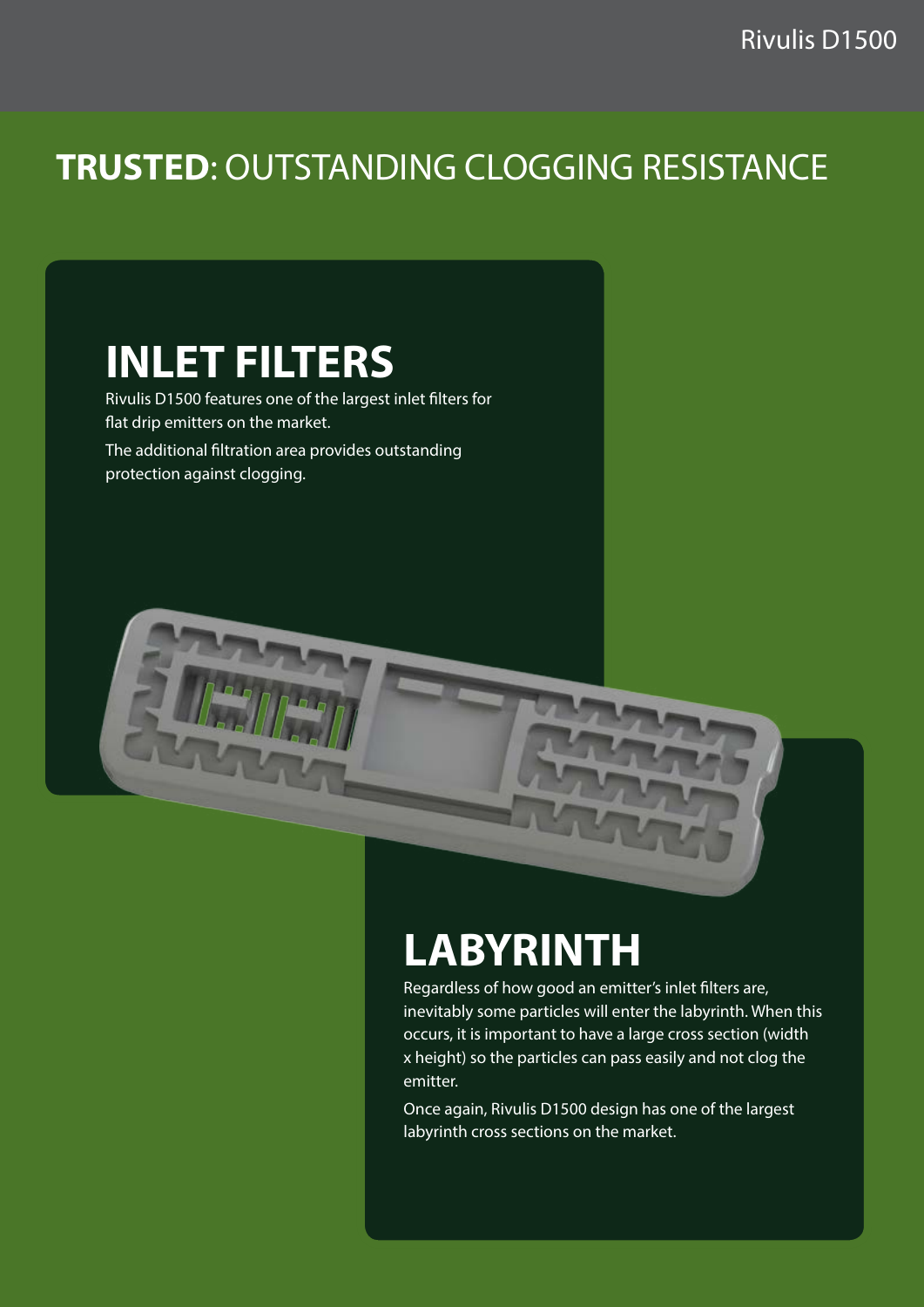#### **TRUSTED**: OUTSTANDING CLOGGING RESISTANCE

### **INLET FILTERS**

Rivulis D1500 features one of the largest inlet filters for flat drip emitters on the market. The additional filtration area provides outstanding protection against clogging.



## **LABYRINTH**

Regardless of how good an emitter's inlet filters are, inevitably some particles will enter the labyrinth. When this occurs, it is important to have a large cross section (width x height) so the particles can pass easily and not clog the emitter.

Once again, Rivulis D1500 design has one of the largest labyrinth cross sections on the market.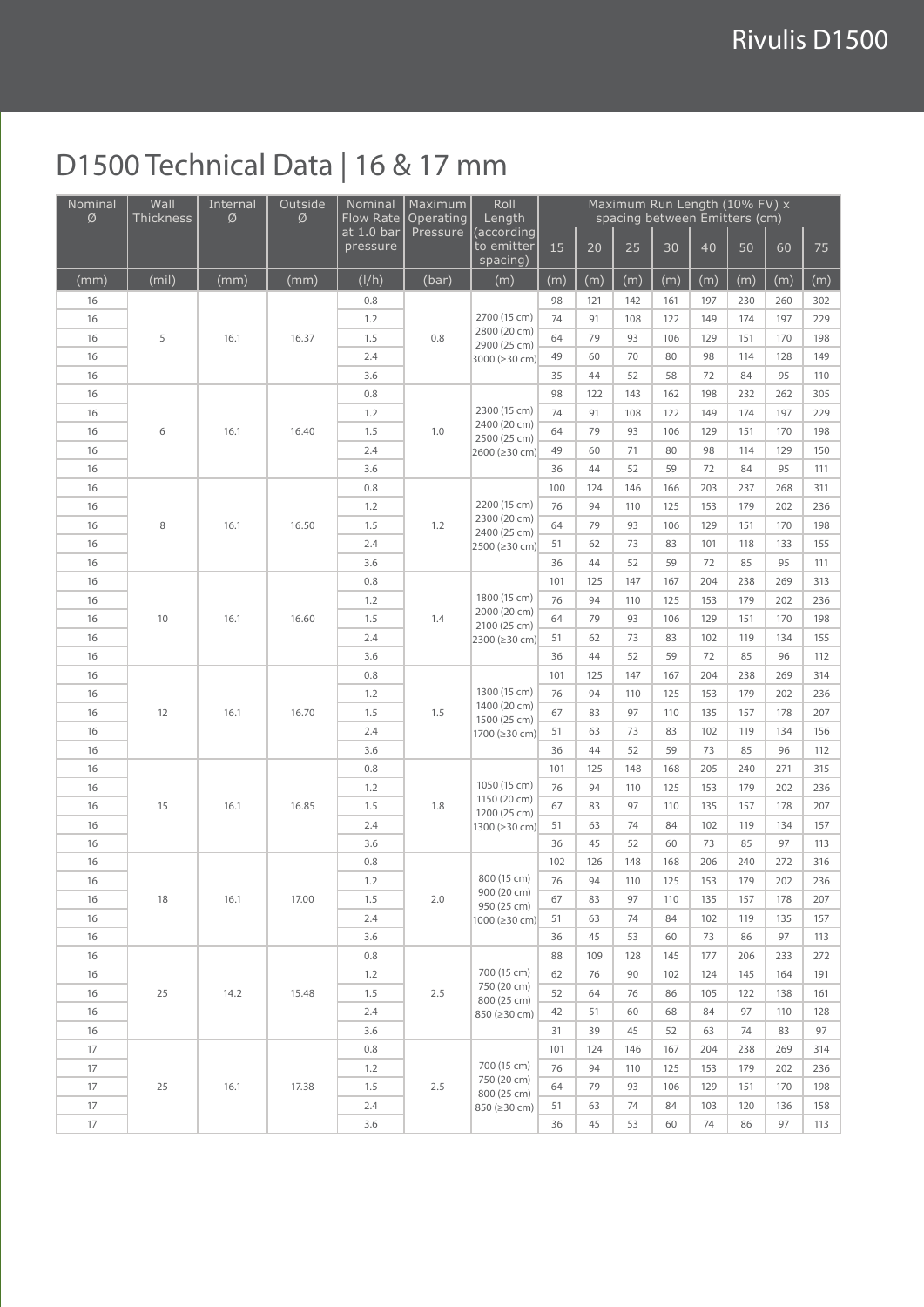#### D1500 Technical Data | 16 & 17 mm

| Nominal  | Wall      | Internal | Outside | Nominal                 | Maximum               | Roll                                                          | Maximum Run Length (10% FV) x<br>spacing between Emitters (cm) |          |           |     |     |     |           |            |
|----------|-----------|----------|---------|-------------------------|-----------------------|---------------------------------------------------------------|----------------------------------------------------------------|----------|-----------|-----|-----|-----|-----------|------------|
| Ø        | Thickness | Ø        | Ø       | Flow Rate<br>at 1.0 bar | Operating<br>Pressure | Length<br>(according                                          |                                                                |          |           |     |     |     |           |            |
|          |           |          |         | pressure                |                       | to emitter<br>spacing)                                        | 15                                                             | 20       | 25        | 30  | 40  | 50  | 60        | 75         |
| (mm)     | (mil)     | (mm)     | (mm)    | (I/h)                   | (bar)                 | (m)                                                           | (m)                                                            | (m)      | (m)       | (m) | (m) | (m) | (m)       | (m)        |
| 16       |           |          |         | 0.8                     |                       |                                                               | 98                                                             | 121      | 142       | 161 | 197 | 230 | 260       | 302        |
| 16       |           |          |         | 1.2                     | 0.8                   | 2700 (15 cm)                                                  | 74                                                             | 91       | 108       | 122 | 149 | 174 | 197       | 229        |
| 16       | 5         | 16.1     | 16.37   | 1.5                     |                       | 2800 (20 cm)<br>2900 (25 cm)                                  | 64                                                             | 79       | 93        | 106 | 129 | 151 | 170       | 198        |
| 16       |           |          |         | 2.4                     |                       | 3000 (≥30 cm)                                                 | 49                                                             | 60       | 70        | 80  | 98  | 114 | 128       | 149        |
| 16       |           |          |         | 3.6                     |                       |                                                               | 35                                                             | 44       | 52        | 58  | 72  | 84  | 95        | 110        |
| 16       |           |          |         | 0.8                     |                       | 2300 (15 cm)                                                  | 98                                                             | 122      | 143       | 162 | 198 | 232 | 262       | 305        |
| 16       |           |          |         | 1.2                     |                       |                                                               | 74                                                             | 91       | 108       | 122 | 149 | 174 | 197       | 229        |
| 16       | 6         | 16.1     | 16.40   | 1.5                     | 1.0                   | 2400 (20 cm)<br>2500 (25 cm)                                  | 64                                                             | 79       | 93        | 106 | 129 | 151 | 170       | 198        |
| 16       |           |          |         | 2.4                     |                       | 2600 (≥30 cm)                                                 | 49                                                             | 60       | 71        | 80  | 98  | 114 | 129       | 150        |
| 16       |           |          |         | 3.6                     |                       |                                                               | 36                                                             | 44       | 52        | 59  | 72  | 84  | 95        | 111        |
| 16       |           |          | 16.50   | 0.8                     | 1.2                   | 2200 (15 cm)<br>2300 (20 cm)<br>2400 (25 cm)<br>2500 (≥30 cm) | 100                                                            | 124      | 146       | 166 | 203 | 237 | 268       | 311        |
| 16       |           |          |         | 1.2                     |                       |                                                               | 76                                                             | 94       | 110       | 125 | 153 | 179 | 202       | 236        |
| 16       | 8         | 16.1     |         | 1.5                     |                       |                                                               | 64                                                             | 79       | 93        | 106 | 129 | 151 | 170       | 198        |
| 16       |           |          |         | 2.4                     |                       |                                                               | 51                                                             | 62       | 73        | 83  | 101 | 118 | 133       | 155        |
| 16       |           |          |         | 3.6                     |                       |                                                               | 36                                                             | 44       | 52        | 59  | 72  | 85  | 95        | 111        |
| 16       |           |          |         | 0.8                     |                       | 1800 (15 cm)<br>2000 (20 cm)                                  | 101                                                            | 125      | 147       | 167 | 204 | 238 | 269       | 313        |
| 16       |           |          |         | 1.2                     |                       |                                                               | 76                                                             | 94       | 110       | 125 | 153 | 179 | 202       | 236        |
| 16       | 10        | 16.1     | 16.60   | 1.5                     | 1.4                   | 2100 (25 cm)                                                  | 64                                                             | 79       | 93        | 106 | 129 | 151 | 170       | 198        |
| 16       |           |          |         | 2.4                     |                       | 2300 (≥30 cm)                                                 | 51                                                             | 62       | 73        | 83  | 102 | 119 | 134       | 155        |
| 16       |           |          |         | 3.6                     |                       |                                                               | 36                                                             | 44       | 52        | 59  | 72  | 85  | 96        | 112        |
| 16       |           |          |         | 0.8                     |                       | 1300 (15 cm)<br>1400 (20 cm)                                  | 101                                                            | 125      | 147       | 167 | 204 | 238 | 269       | 314        |
| 16       |           |          |         | 1.2                     |                       |                                                               | 76                                                             | 94       | 110       | 125 | 153 | 179 | 202       | 236        |
| 16       | 12        | 16.1     | 16.70   | 1.5                     | 1.5                   | 1500 (25 cm)                                                  | 67                                                             | 83       | 97        | 110 | 135 | 157 | 178       | 207        |
| 16       |           |          |         | 2.4                     |                       | 1700 (≥30 cm)                                                 | 51                                                             | 63       | 73        | 83  | 102 | 119 | 134       | 156        |
| 16       |           |          |         | 3.6                     |                       |                                                               | 36                                                             | 44       | 52        | 59  | 73  | 85  | 96        | 112        |
| 16       |           | 16.1     | 16.85   | 0.8                     | 1.8                   | 1050 (15 cm)<br>1150 (20 cm)<br>1200 (25 cm)<br>1300 (≥30 cm) | 101                                                            | 125      | 148       | 168 | 205 | 240 | 271       | 315        |
| 16       |           |          |         | 1.2                     |                       |                                                               | 76                                                             | 94       | 110       | 125 | 153 | 179 | 202       | 236        |
| 16       | 15        |          |         | 1.5                     |                       |                                                               | 67                                                             | 83       | 97        | 110 | 135 | 157 | 178       | 207        |
| 16       |           |          |         | 2.4                     |                       |                                                               | 51                                                             | 63       | 74        | 84  | 102 | 119 | 134       | 157        |
| 16       |           |          |         | 3.6                     |                       |                                                               | 36                                                             | 45       | 52        | 60  | 73  | 85  | 97        | 113        |
| 16       |           |          |         | 0.8                     |                       |                                                               | 102                                                            | 126      | 148       | 168 | 206 | 240 | 272       | 316        |
| 16       |           |          |         | 1.2                     |                       | 800 (15 cm)<br>900 (20 cm)                                    | 76                                                             | 94       | 110       | 125 | 153 | 179 | 202       | 236        |
| 16       | 18        | 16.1     | 17.00   | 1.5                     | 2.0                   | 950 (25 cm)                                                   | 67                                                             | 83       | 97        | 110 | 135 | 157 | 178       | 207        |
| 16       |           |          |         | 2.4                     |                       | 1000 (≥30 cm)                                                 | 51                                                             | 63       | 74        | 84  | 102 | 119 | 135       | 157        |
| 16       |           |          |         | 3.6                     |                       |                                                               | 36                                                             | 45       | 53        | 60  | 73  | 86  | 97        | 113        |
| 16       |           |          |         | 0.8                     |                       | 700 (15 cm)<br>750 (20 cm)                                    | 88                                                             | 109      | 128       | 145 | 177 | 206 | 233       | 272        |
| 16       |           |          |         | 1.2                     |                       |                                                               | 62                                                             | 76       | 90        | 102 | 124 | 145 | 164       | 191        |
| 16       | 25        | 14.2     | 15.48   | 1.5                     | 2.5                   | 800 (25 cm)                                                   | 52                                                             | 64       | 76        | 86  | 105 | 122 | 138       | 161        |
| 16       |           |          |         | 2.4                     |                       | 850 (≥30 cm)                                                  | 42                                                             | 51       | 60        | 68  | 84  | 97  | 110       | 128        |
| 16       |           |          |         | 3.6                     |                       |                                                               | 31                                                             | 39       | 45        | 52  | 63  | 74  | 83        | 97         |
| 17       |           |          |         | 0.8                     |                       | 700 (15 cm)                                                   | 101                                                            | 124      | 146       | 167 | 204 | 238 | 269       | 314        |
| 17<br>17 |           |          | 17.38   | 1.2                     |                       | 750 (20 cm)                                                   | 76<br>64                                                       | 94<br>79 | 110<br>93 | 125 | 153 | 179 | 202       | 236<br>198 |
|          | 25        | 16.1     |         | 1.5                     | 2.5                   | 800 (25 cm)                                                   |                                                                |          |           | 106 | 129 | 151 | 170       |            |
| 17       |           |          |         | 2.4                     |                       | 850 (≥30 cm)                                                  | 51                                                             | 63       | 74        | 84  | 103 | 120 | 136<br>97 | 158        |
| 17       |           |          |         | 3.6                     |                       |                                                               | 36                                                             | 45       | 53        | 60  | 74  | 86  |           | 113        |